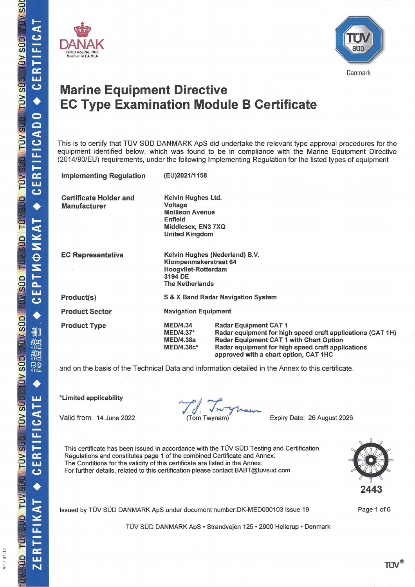A4 / 07.17





# **Marine Equipment Directive EC Type Examination Module B Certificate**

This is to certify that TÜV SÜD DANMARK ApS did undertake the relevant type approval procedures for the equipment identified below, which was found to be in compliance with the Marine Equipment Directive (2014/90/EU) requirements, under the following Implementing Regulation for the listed types of equipment

| <b>Implementing Regulation</b>                       | (EU)2021/1158                                                                                                       |                                                                                                                                                                                                                                     |  |
|------------------------------------------------------|---------------------------------------------------------------------------------------------------------------------|-------------------------------------------------------------------------------------------------------------------------------------------------------------------------------------------------------------------------------------|--|
| <b>Certificate Holder and</b><br><b>Manufacturer</b> | Kelvin Hughes Ltd.<br>Voltage<br><b>Mollison Avenue</b><br>Enfield<br>Middlesex, EN3 7XQ<br><b>United Kingdom</b>   |                                                                                                                                                                                                                                     |  |
| <b>EC Representative</b>                             | Kelvin Hughes (Nederland) B.V.<br>Klompenmakerstraat 64<br>Hoogvliet-Rotterdam<br>3194 DE<br><b>The Netherlands</b> |                                                                                                                                                                                                                                     |  |
| Product(s)                                           | S & X Band Radar Navigation System                                                                                  |                                                                                                                                                                                                                                     |  |
| <b>Product Sector</b>                                | <b>Navigation Equipment</b>                                                                                         |                                                                                                                                                                                                                                     |  |
| <b>Product Type</b>                                  | <b>MED/4.34</b><br><b>MED/4.37*</b><br><b>MED/4.38a</b><br><b>MED/4.38c*</b>                                        | <b>Radar Equipment CAT 1</b><br>Radar equipment for high speed craft applications (CAT 1H)<br>Radar Equipment CAT 1 with Chart Option<br>Radar equipment for high speed craft applications<br>approved with a chart option, CAT 1HC |  |

and on the basis of the Technical Data and information detailed in the Annex to this certificate.

\*Limited applicability

Valid from: 14 June 2022

(Tom Twynam)

Expiry Date: 26 August 2026

This certificate has been issued in accordance with the TÜV SÜD Testing and Certification Regulations and constitutes page 1 of the combined Certificate and Annex. The Conditions for the validity of this certificate are listed in the Annex. For further details, related to this certification please contact BABT@tuvsud.com



TÜV SÜD DANMARK ApS · Strandvejen 125 · 2900 Hellerup · Denmark



Page 1 of 6

TÜV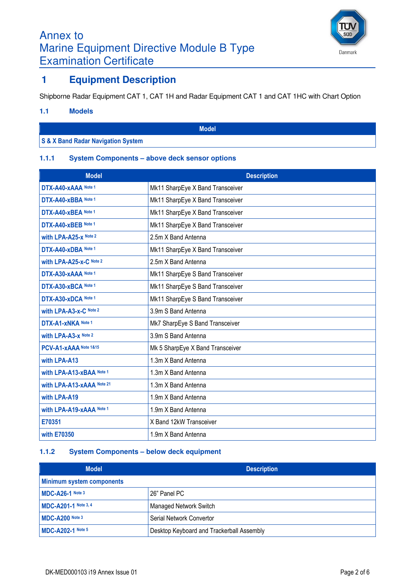# Annex to Marine Equipment Directive Module B Type Examination Certificate



## **1 Equipment Description**

Shipborne Radar Equipment CAT 1, CAT 1H and Radar Equipment CAT 1 and CAT 1HC with Chart Option

#### **1.1 Models**

**Model**

### **S & X Band Radar Navigation System**

### **1.1.1 System Components – above deck sensor options**

| <b>Model</b>                | <b>Description</b>               |
|-----------------------------|----------------------------------|
| DTX-A40-xAAA Note 1         | Mk11 SharpEye X Band Transceiver |
| DTX-A40-xBBA Note 1         | Mk11 SharpEye X Band Transceiver |
| DTX-A40-xBEA Note 1         | Mk11 SharpEye X Band Transceiver |
| DTX-A40-xBEB Note 1         | Mk11 SharpEye X Band Transceiver |
| with LPA-A25-x Note 2       | 2.5m X Band Antenna              |
| DTX-A40-xDBA Note 1         | Mk11 SharpEye X Band Transceiver |
| with LPA-A25-x-C Note 2     | 2.5m X Band Antenna              |
| DTX-A30-xAAA Note 1         | Mk11 SharpEye S Band Transceiver |
| DTX-A30-xBCA Note 1         | Mk11 SharpEye S Band Transceiver |
| DTX-A30-xDCA Note 1         | Mk11 SharpEye S Band Transceiver |
| with LPA-A3-x-C Note 2      | 3.9m S Band Antenna              |
| DTX-A1-xNKA Note 1          | Mk7 SharpEye S Band Transceiver  |
| <b>with LPA-A3-x Note 2</b> | 3.9m S Band Antenna              |
| PCV-A1-xAAA Note 1&15       | Mk 5 SharpEye X Band Transceiver |
| with LPA-A13                | 1.3m X Band Antenna              |
| with LPA-A13-xBAA Note 1    | 1.3m X Band Antenna              |
| with LPA-A13-xAAA Note 21   | 1.3m X Band Antenna              |
| with LPA-A19                | 1.9m X Band Antenna              |
| with LPA-A19-xAAA Note 1    | 1.9m X Band Antenna              |
| E70351                      | X Band 12kW Transceiver          |
| with E70350                 | 1.9m X Band Antenna              |

### **1.1.2 System Components – below deck equipment**

| <b>Model</b>                     | <b>Description</b>                        |
|----------------------------------|-------------------------------------------|
| <b>Minimum system components</b> |                                           |
| MDC-A26-1 Note 3                 | 26" Panel PC                              |
| MDC-A201-1 Note 3, 4             | <b>Managed Network Switch</b>             |
| MDC-A200 Note 3                  | Serial Network Convertor                  |
| <b>MDC-A202-1 Note 5</b>         | Desktop Keyboard and Trackerball Assembly |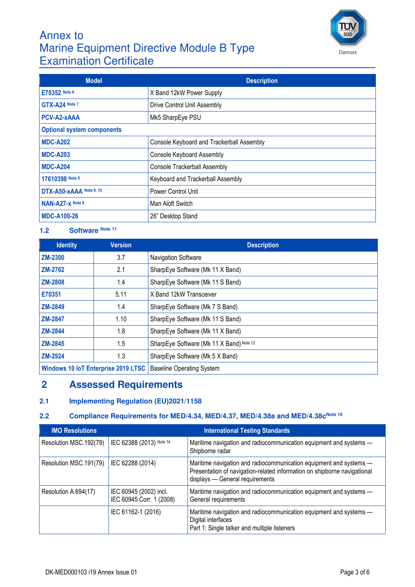# Annex to Marine Equipment Directive Module B Type Examination Certificate



| <b>Model</b>                      | <b>Description</b>                        |  |
|-----------------------------------|-------------------------------------------|--|
| E70352 Note 6                     | X Band 12kW Power Supply                  |  |
| GTX-A24 Note 7                    | Drive Control Unit Assembly               |  |
| PCV-A2-xAAA                       | Mk5 SharpEye PSU                          |  |
| <b>Optional system components</b> |                                           |  |
| <b>MDC-A202</b>                   | Console Keyboard and Trackerball Assembly |  |
| <b>MDC-A203</b>                   | Console Keyboard Assembly                 |  |
| <b>MDC-A204</b>                   | <b>Console Trackerball Assembly</b>       |  |
| 17610398 Note 8                   | Keyboard and Trackerball Assembly         |  |
| DTX-A50-xAAA Note 9, 10           | Power Control Unit                        |  |
| NAN-A27-x Note 9                  | Man Aloft Switch                          |  |
| <b>MDC-A100-26</b>                | 26" Desktop Stand                         |  |

### **1.2 Software Note 11**

| <b>Identity</b> | <b>Version</b>                             | <b>Description</b>                       |
|-----------------|--------------------------------------------|------------------------------------------|
| <b>ZM-2300</b>  | 3.7                                        | Navigation Software                      |
| <b>ZM-2762</b>  | 2.1                                        | SharpEye Software (Mk 11 X Band)         |
| <b>ZM-2808</b>  | 1.4                                        | SharpEye Software (Mk 11 S Band)         |
| E70351          | 5.11                                       | X Band 12kW Transceiver                  |
| <b>ZM-2849</b>  | 1.4                                        | SharpEye Software (Mk 7 S Band)          |
| <b>ZM-2847</b>  | 1.10                                       | SharpEye Software (Mk 11 S Band)         |
| <b>ZM-2844</b>  | 1.8                                        | SharpEye Software (Mk 11 X Band)         |
| <b>ZM-2845</b>  | 1.5                                        | SharpEye Software (Mk 11 X Band) Note 12 |
| <b>ZM-2924</b>  | 1.3                                        | SharpEye Software (Mk 5 X Band)          |
|                 | <b>Windows 10 IoT Enterprise 2019 LTSC</b> | <b>Baseline Operating System</b>         |

## **2 Assessed Requirements**

## **2.1 Implementing Regulation (EU)2021/1158**

## **2.2 Compliance Requirements for MED/4.34, MED/4.37, MED/4.38a and MED/4.38cNote 15**

| <b>IMO Resolutions</b> | <b>International Testing Standards</b>             |                                                                                                                                                                                   |  |
|------------------------|----------------------------------------------------|-----------------------------------------------------------------------------------------------------------------------------------------------------------------------------------|--|
| Resolution MSC.192(79) | IEC 62388 (2013) Note 14                           | Maritime navigation and radiocommunication equipment and systems -<br>Shipborne radar                                                                                             |  |
| Resolution MSC.191(79) | IEC 62288 (2014)                                   | Maritime navigation and radiocommunication equipment and systems -<br>Presentation of navigation-related information on shipborne navigational<br>displays - General requirements |  |
| Resolution A.694(17)   | IEC 60945 (2002) incl.<br>IEC 60945 Corr. 1 (2008) | Maritime navigation and radiocommunication equipment and systems -<br>General requirements                                                                                        |  |
|                        | IEC 61162-1 (2016)                                 | Maritime navigation and radiocommunication equipment and systems -<br>Digital interfaces<br>Part 1: Single talker and multiple listeners                                          |  |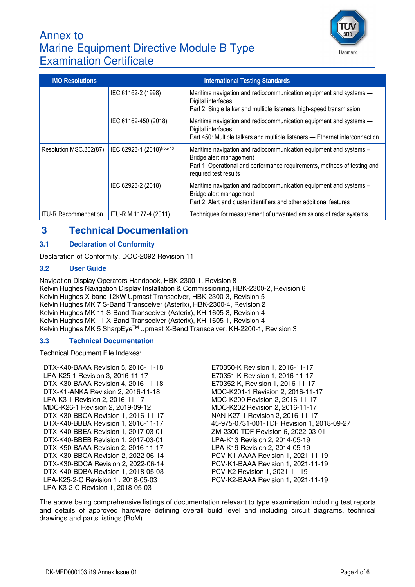

# Annex to Marine Equipment Directive Module B Type Examination Certificate

| <b>IMO Resolutions</b>      | <b>International Testing Standards</b> |                                                                                                                                                                                                    |  |
|-----------------------------|----------------------------------------|----------------------------------------------------------------------------------------------------------------------------------------------------------------------------------------------------|--|
|                             | IEC 61162-2 (1998)                     | Maritime navigation and radiocommunication equipment and systems -<br>Digital interfaces<br>Part 2: Single talker and multiple listeners, high-speed transmission                                  |  |
|                             | IEC 61162-450 (2018)                   | Maritime navigation and radiocommunication equipment and systems -<br>Digital interfaces<br>Part 450: Multiple talkers and multiple listeners - Ethernet interconnection                           |  |
| Resolution MSC.302(87)      | IEC 62923-1 (2018) Note 13             | Maritime navigation and radiocommunication equipment and systems -<br>Bridge alert management<br>Part 1: Operational and performance requirements, methods of testing and<br>required test results |  |
|                             | IEC 62923-2 (2018)                     | Maritime navigation and radiocommunication equipment and systems -<br>Bridge alert management<br>Part 2: Alert and cluster identifiers and other additional features                               |  |
| <b>ITU-R Recommendation</b> | ITU-R M.1177-4 (2011)                  | Techniques for measurement of unwanted emissions of radar systems                                                                                                                                  |  |

# **3 Technical Documentation**

### **3.1 Declaration of Conformity**

Declaration of Conformity, DOC-2092 Revision 11

#### **3.2 User Guide**

Navigation Display Operators Handbook, HBK-2300-1, Revision 8 Kelvin Hughes Navigation Display Installation & Commissioning, HBK-2300-2, Revision 6 Kelvin Hughes X-band 12kW Upmast Transceiver, HBK-2300-3, Revision 5 Kelvin Hughes MK 7 S-Band Transceiver (Asterix), HBK-2300-4, Revision 2 Kelvin Hughes MK 11 S-Band Transceiver (Asterix), KH-1605-3, Revision 4 Kelvin Hughes MK 11 X-Band Transceiver (Asterix), KH-1605-1, Revision 4 Kelvin Hughes MK 5 SharpEye™ Upmast X-Band Transceiver, KH-2200-1, Revision 3

#### **3.3 Technical Documentation**

Technical Document File Indexes:

DTX-K40-BAAA Revision 5, 2016-11-18 E70350-K Revision 1, 2016-11-17 LPA-K25-1 Revision 3, 2016-11-17 E70351-K Revision 1, 2016-11-17 DTX-K30-BAAA Revision 4, 2016-11-18 E70352-K, Revision 1, 2016-11-17 DTX-K1-ANKA Revision 2, 2016-11-18 MDC-K201-1 Revision 2, 2016-11-17 LPA-K3-1 Revision 2, 2016-11-17 MDC-K200 Revision 2, 2016-11-17 MDC-K26-1 Revision 2, 2019-09-12<br>DTX-K30-BBCA Revision 1, 2016-11-17 MAN-K27-1 Revision 2, 2016-11-17 DTX-K30-BBCA Revision 1, 2016-11-17 DTX-K40-BBEA Revision 1, 2017-03-01 ZM-2300-TDF Revision 6, 2022-03-01 DTX-K40-BBEB Revision 1, 2017-03-01 LPA-K13 Revision 2, 2014-05-19 DTX-K50-BAAA Revision 2, 2016-11-17 LPA-K19 Revision 2, 2014-05-19 DTX-K30-BBCA Revision 2, 2022-06-14 PCV-K1-AAAA Revision 1, 2021-11-19 DTX-K30-BDCA Revision 2, 2022-06-14 PCV-K1-BAAA Revision 1, 2021-11-19 DTX-K40-BDBA Revision 1, 2018-05-03 PCV-K2 Revision 1, 2021-11-19 LPA-K25-2-C Revision 1 , 2018-05-03 PCV-K2-BAAA Revision 1, 2021-11-19 LPA-K3-2-C Revision 1, 2018-05-03

DTX-K40-BBBA Revision 1, 2016-11-17 45-975-0731-001-TDF Revision 1, 2018-09-27

The above being comprehensive listings of documentation relevant to type examination including test reports and details of approved hardware defining overall build level and including circuit diagrams, technical drawings and parts listings (BoM).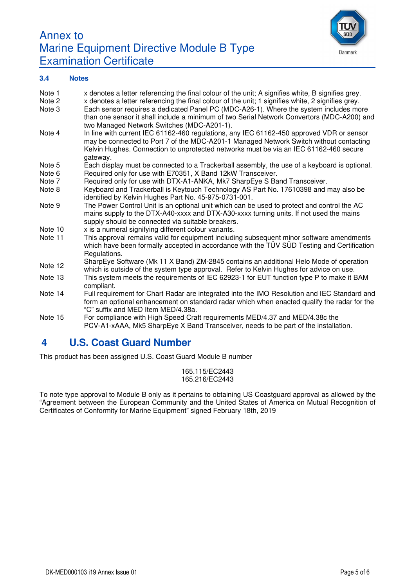



#### **3.4 Notes**

| Note 1  | x denotes a letter referencing the final colour of the unit; A signifies white, B signifies grey. |
|---------|---------------------------------------------------------------------------------------------------|
| Note 2  | x denotes a letter referencing the final colour of the unit; 1 signifies white, 2 signifies grey. |
| Note 3  | Each sensor requires a dedicated Panel PC (MDC-A26-1). Where the system includes more             |
|         | than one sensor it shall include a minimum of two Serial Network Convertors (MDC-A200) and        |
|         | two Managed Network Switches (MDC-A201-1).                                                        |
| Note 4  | In line with current IEC 61162-460 regulations, any IEC 61162-450 approved VDR or sensor          |
|         | may be connected to Port 7 of the MDC-A201-1 Managed Network Switch without contacting            |
|         | Kelvin Hughes. Connection to unprotected networks must be via an IEC 61162-460 secure             |
|         | gateway.                                                                                          |
| Note 5  | Each display must be connected to a Trackerball assembly, the use of a keyboard is optional.      |
| Note 6  | Required only for use with E70351, X Band 12kW Transceiver.                                       |
| Note 7  | Required only for use with DTX-A1-ANKA, Mk7 SharpEye S Band Transceiver.                          |
| Note 8  | Keyboard and Trackerball is Keytouch Technology AS Part No. 17610398 and may also be              |
|         | identified by Kelvin Hughes Part No. 45-975-0731-001.                                             |
| Note 9  | The Power Control Unit is an optional unit which can be used to protect and control the AC        |
|         | mains supply to the DTX-A40-xxxx and DTX-A30-xxxx turning units. If not used the mains            |
|         | supply should be connected via suitable breakers.                                                 |
| Note 10 | x is a numeral signifying different colour variants.                                              |
| Note 11 | This approval remains valid for equipment including subsequent minor software amendments          |
|         | which have been formally accepted in accordance with the TÜV SÜD Testing and Certification        |
|         | Regulations.                                                                                      |
|         | SharpEye Software (Mk 11 X Band) ZM-2845 contains an additional Helo Mode of operation            |
| Note 12 | which is outside of the system type approval. Refer to Kelvin Hughes for advice on use.           |
| Note 13 | This system meets the requirements of IEC 62923-1 for EUT function type P to make it BAM          |
|         | compliant.                                                                                        |
| Note 14 | Full requirement for Chart Radar are integrated into the IMO Resolution and IEC Standard and      |
|         | form an optional enhancement on standard radar which when enacted qualify the radar for the       |
|         | "C" suffix and MED Item MED/4.38a.                                                                |
| Note 15 | For compliance with High Speed Craft requirements MED/4.37 and MED/4.38c the                      |
|         | PCV-A1-xAAA, Mk5 SharpEye X Band Transceiver, needs to be part of the installation.               |

## **4 U.S. Coast Guard Number**

This product has been assigned U.S. Coast Guard Module B number

165.115/EC2443 165.216/EC2443

To note type approval to Module B only as it pertains to obtaining US Coastguard approval as allowed by the "Agreement between the European Community and the United States of America on Mutual Recognition of Certificates of Conformity for Marine Equipment" signed February 18th, 2019